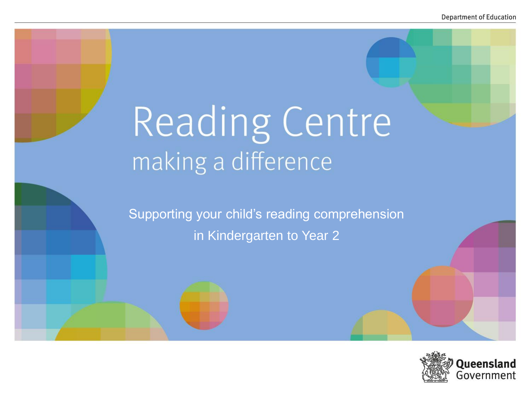# Reading Centre making a difference

Supporting your child's reading comprehension in Kindergarten to Year 2

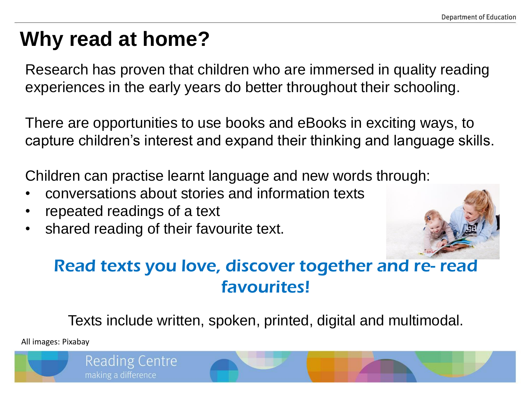## **Why read at home?**

Research has proven that children who are immersed in quality reading experiences in the early years do better throughout their schooling.

There are opportunities to use books and eBooks in exciting ways, to capture children's interest and expand their thinking and language skills.

Children can practise learnt language and new words through:

- conversations about stories and information texts
- repeated readings of a text
- shared reading of their favourite text.



### Read texts you love, discover together and re- read favourites!

Texts include written, spoken, printed, digital and multimodal.

All images: Pixabay

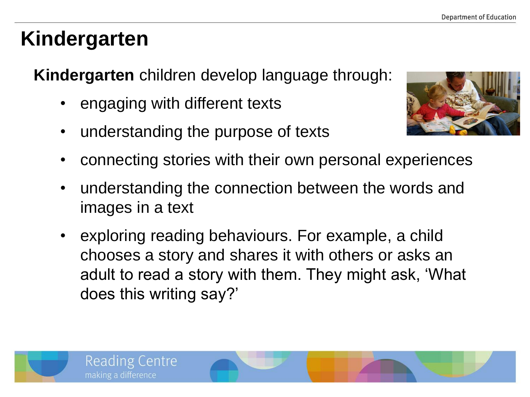# **Kindergarten**

**Kindergarten** children develop language through:

- engaging with different texts
- understanding the purpose of texts



- connecting stories with their own personal experiences
- understanding the connection between the words and images in a text
- exploring reading behaviours. For example, a child chooses a story and shares it with others or asks an adult to read a story with them. They might ask, 'What does this writing say?'

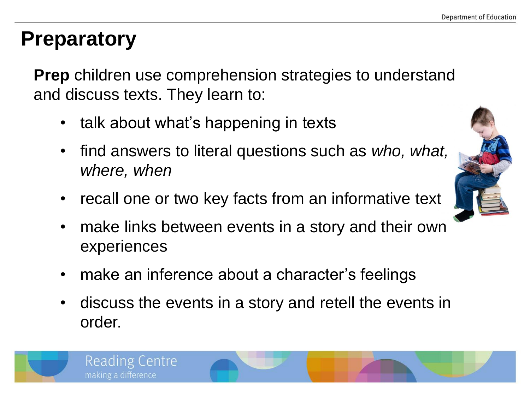### **Preparatory**

**Reading Centre** 

making a difference

**Prep** children use comprehension strategies to understand and discuss texts. They learn to:

- talk about what's happening in texts
- find answers to literal questions such as *who, what, where, when*
- recall one or two key facts from an informative text
- make links between events in a story and their own experiences
- make an inference about a character's feelings
- discuss the events in a story and retell the events in order.

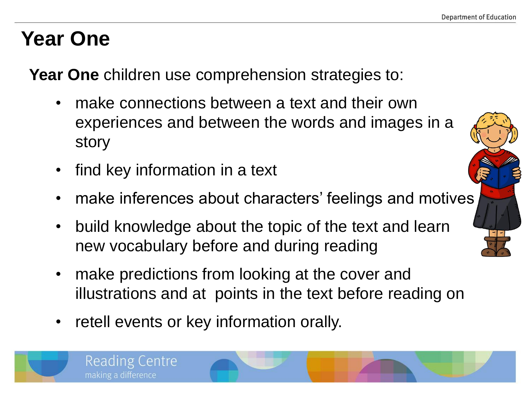# **Year One**

**Year One** children use comprehension strategies to:

- make connections between a text and their own experiences and between the words and images in a story
- find key information in a text

**Reading Centre** 

making a difference

- make inferences about characters' feelings and motives
- build knowledge about the topic of the text and learn new vocabulary before and during reading
- make predictions from looking at the cover and illustrations and at points in the text before reading on
- retell events or key information orally.

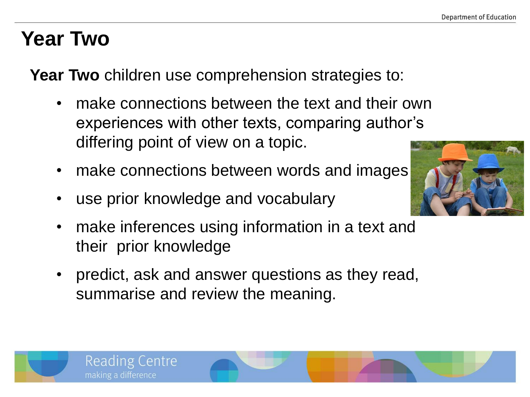### **Year Two**

**Year Two** children use comprehension strategies to:

- make connections between the text and their own experiences with other texts, comparing author's differing point of view on a topic.
- make connections between words and images
- use prior knowledge and vocabulary
- make inferences using information in a text and their prior knowledge
- predict, ask and answer questions as they read, summarise and review the meaning.



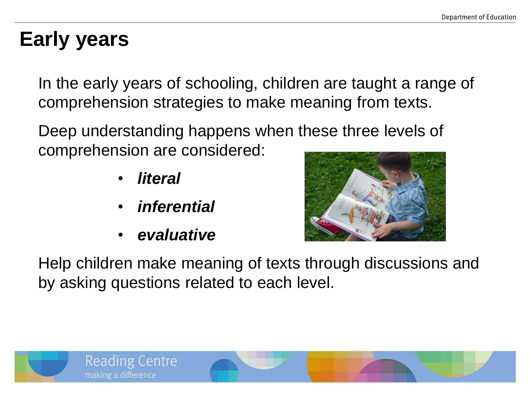### **Early years**

In the early years of schooling, children are taught a range of comprehension strategies to make meaning from texts.

Deep understanding happens when these three levels of comprehension are considered:

- *literal*
- *inferential*
- *evaluative*



Help children make meaning of texts through discussions and by asking questions related to each level.

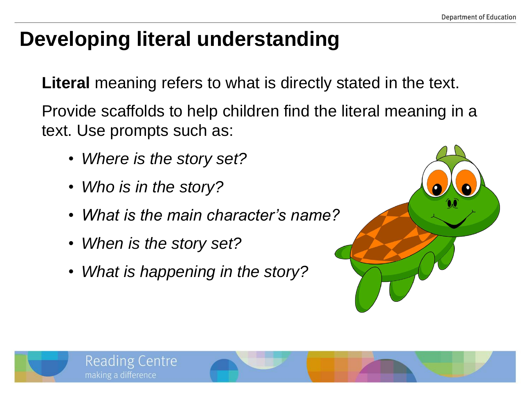# **Developing literal understanding**

**Literal** meaning refers to what is directly stated in the text.

Provide scaffolds to help children find the literal meaning in a text. Use prompts such as:

- *Where is the story set?*
- *Who is in the story?*
- *What is the main character's name?*
- *When is the story set?*

Reading Centre

making a difference

• *What is happening in the story?*



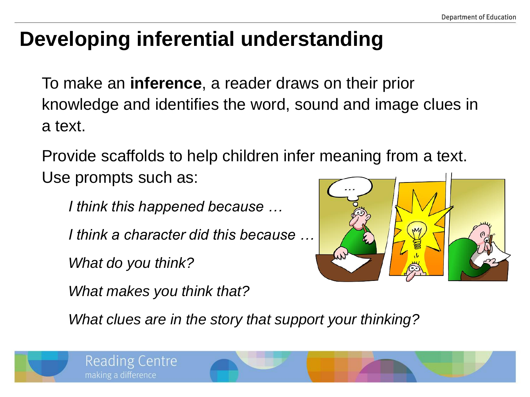# **Developing inferential understanding**

To make an **inference**, a reader draws on their prior knowledge and identifies the word, sound and image clues in a text.

Provide scaffolds to help children infer meaning from a text. Use prompts such as:

*I think this happened because …* 

*I think a character did this because …*

*What do you think?* 

*What makes you think that?* 



*What clues are in the story that support your thinking?*

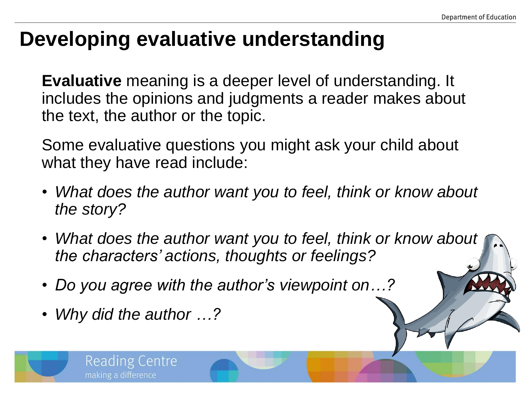### **Developing evaluative understanding**

**Evaluative** meaning is a deeper level of understanding. It includes the opinions and judgments a reader makes about the text, the author or the topic.

Some evaluative questions you might ask your child about what they have read include:

- *What does the author want you to feel, think or know about the story?*
- *What does the author want you to feel, think or know about the characters' actions, thoughts or feelings?*
- *Do you agree with the author's viewpoint on…?*
- *Why did the author …?*

**Reading Centre** 

making a difference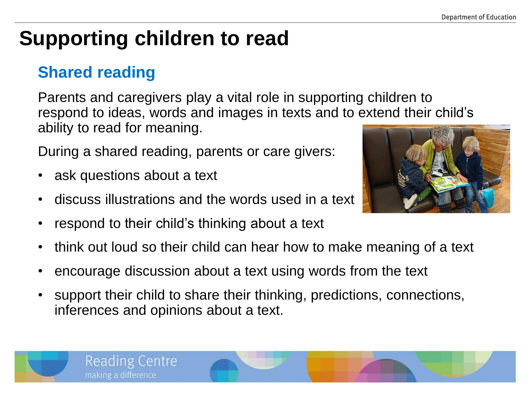# **Supporting children to read**

### **Shared reading**

Parents and caregivers play a vital role in supporting children to respond to ideas, words and images in texts and to extend their child's ability to read for meaning.

During a shared reading, parents or care givers:

- ask questions about a text
- discuss illustrations and the words used in a text
- respond to their child's thinking about a text
- think out loud so their child can hear how to make meaning of a text
- encourage discussion about a text using words from the text
- support their child to share their thinking, predictions, connections, inferences and opinions about a text.



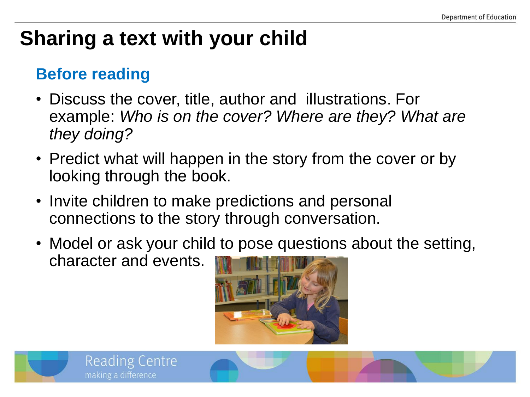# **Sharing a text with your child**

#### **Before reading**

- Discuss the cover, title, author and illustrations. For example: *Who is on the cover? Where are they? What are they doing?*
- Predict what will happen in the story from the cover or by looking through the book.
- Invite children to make predictions and personal connections to the story through conversation.
- Model or ask your child to pose questions about the setting, character and events.



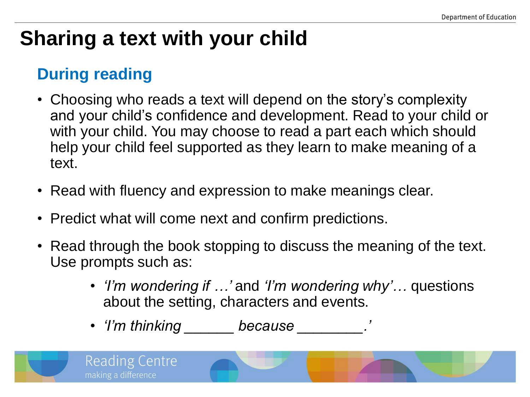# **Sharing a text with your child**

#### **During reading**

- Choosing who reads a text will depend on the story's complexity and your child's confidence and development. Read to your child or with your child. You may choose to read a part each which should help your child feel supported as they learn to make meaning of a text.
- Read with fluency and expression to make meanings clear.
- Predict what will come next and confirm predictions.
- Read through the book stopping to discuss the meaning of the text. Use prompts such as:
	- *'I'm wondering if …'* and *'I'm wondering why'…* questions about the setting, characters and events.
	- *'I'm thinking \_\_\_\_\_\_ because \_\_\_\_\_\_\_\_.'*

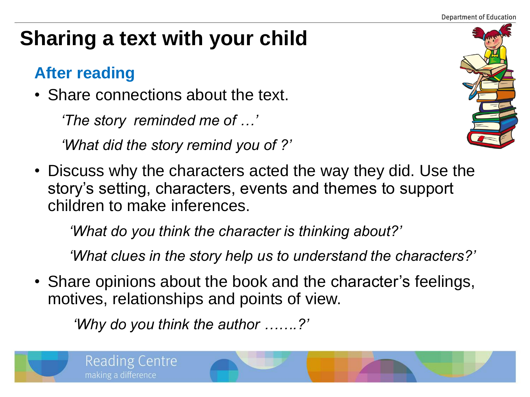# **Sharing a text with your child**

### **After reading**

• Share connections about the text.

*'The story reminded me of …'*

*'What did the story remind you of ?'*



• Discuss why the characters acted the way they did. Use the story's setting, characters, events and themes to support children to make inferences.

 *'What do you think the character is thinking about?'*

 *'What clues in the story help us to understand the characters?'*

• Share opinions about the book and the character's feelings, motives, relationships and points of view.

 *'Why do you think the author …….?'*